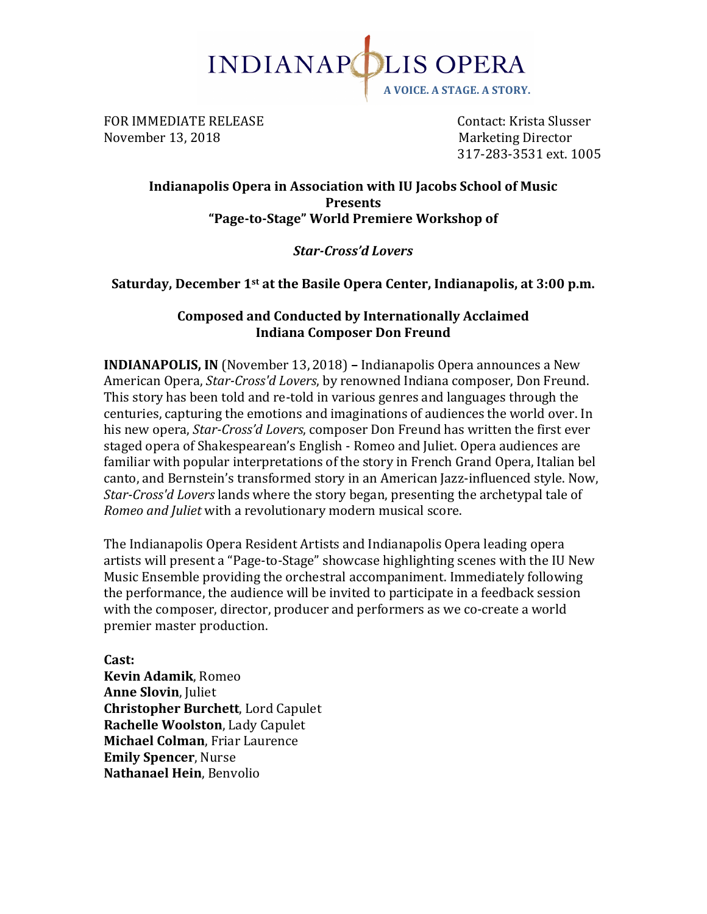

FOR IMMEDIATE RELEASE **Supering the Contact:** Krista Slusser November 13, 2018 Marketing Director

317-283-3531 ext. 1005

# **Indianapolis Opera in Association with IU Jacobs School of Music Presents "Page-to-Stage" World Premiere Workshop of**

# *Star-Cross'd Lovers*

**Saturday, December 1st at the Basile Opera Center, Indianapolis, at 3:00 p.m.** 

# **Composed and Conducted by Internationally Acclaimed Indiana Composer Don Freund**

**INDIANAPOLIS, IN** (November 13, 2018) - Indianapolis Opera announces a New American Opera, *Star-Cross'd Lovers*, by renowned Indiana composer, Don Freund. This story has been told and re-told in various genres and languages through the centuries, capturing the emotions and imaginations of audiences the world over. In his new opera, *Star-Cross'd Lovers*, composer Don Freund has written the first ever staged opera of Shakespearean's English - Romeo and Juliet. Opera audiences are familiar with popular interpretations of the story in French Grand Opera, Italian bel canto, and Bernstein's transformed story in an American Jazz-influenced style. Now, *Star-Cross'd Lovers* lands where the story began, presenting the archetypal tale of *Romeo and Juliet* with a revolutionary modern musical score.

The Indianapolis Opera Resident Artists and Indianapolis Opera leading opera artists will present a "Page-to-Stage" showcase highlighting scenes with the IU New Music Ensemble providing the orchestral accompaniment. Immediately following the performance, the audience will be invited to participate in a feedback session with the composer, director, producer and performers as we co-create a world premier master production.

**Cast: Kevin Adamik**, Romeo **Anne Slovin, Juliet Christopher Burchett**, Lord Capulet **Rachelle Woolston, Lady Capulet Michael Colman, Friar Laurence Emily Spencer, Nurse Nathanael Hein**, Benvolio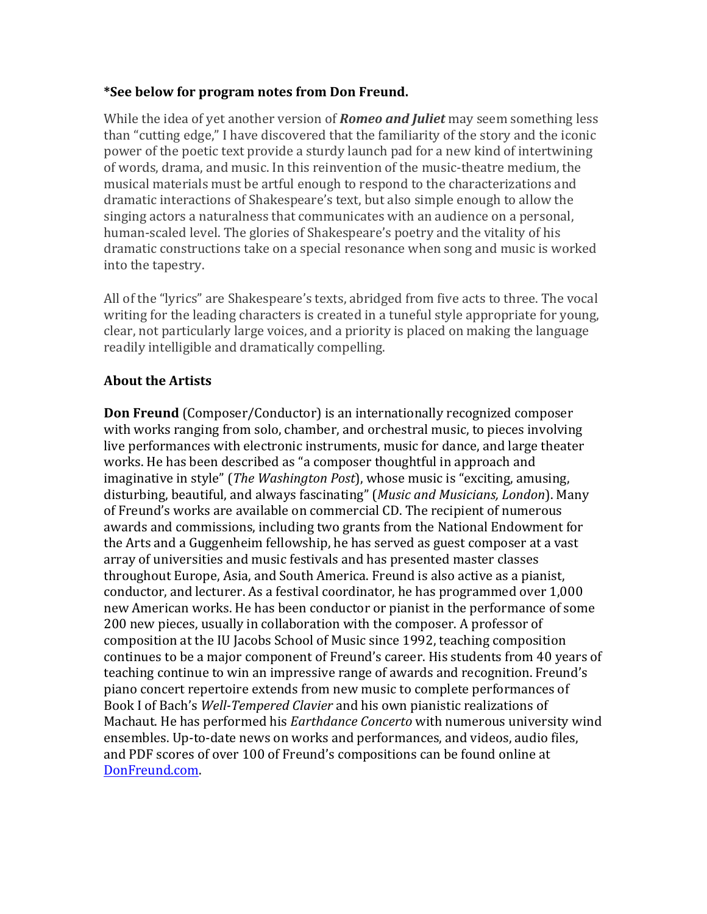# **\*See below for program notes from Don Freund.**

While the idea of yet another version of *Romeo and Juliet* may seem something less than "cutting edge," I have discovered that the familiarity of the story and the iconic power of the poetic text provide a sturdy launch pad for a new kind of intertwining of words, drama, and music. In this reinvention of the music-theatre medium, the musical materials must be artful enough to respond to the characterizations and dramatic interactions of Shakespeare's text, but also simple enough to allow the singing actors a naturalness that communicates with an audience on a personal, human-scaled level. The glories of Shakespeare's poetry and the vitality of his dramatic constructions take on a special resonance when song and music is worked into the tapestry.

All of the "lyrics" are Shakespeare's texts, abridged from five acts to three. The vocal writing for the leading characters is created in a tuneful style appropriate for young, clear, not particularly large voices, and a priority is placed on making the language readily intelligible and dramatically compelling.

# **About the Artists**

**Don Freund** (Composer/Conductor) is an internationally recognized composer with works ranging from solo, chamber, and orchestral music, to pieces involving live performances with electronic instruments, music for dance, and large theater works. He has been described as "a composer thoughtful in approach and imaginative in style" (*The Washington Post*), whose music is "exciting, amusing, disturbing, beautiful, and always fascinating" (Music and Musicians, London). Many of Freund's works are available on commercial CD. The recipient of numerous awards and commissions, including two grants from the National Endowment for the Arts and a Guggenheim fellowship, he has served as guest composer at a vast array of universities and music festivals and has presented master classes throughout Europe, Asia, and South America. Freund is also active as a pianist, conductor, and lecturer. As a festival coordinator, he has programmed over 1,000 new American works. He has been conductor or pianist in the performance of some 200 new pieces, usually in collaboration with the composer. A professor of composition at the IU Jacobs School of Music since 1992, teaching composition continues to be a major component of Freund's career. His students from 40 years of teaching continue to win an impressive range of awards and recognition. Freund's piano concert repertoire extends from new music to complete performances of Book I of Bach's *Well-Tempered Clavier* and his own pianistic realizations of Machaut. He has performed his *Earthdance Concerto* with numerous university wind ensembles. Up-to-date news on works and performances, and videos, audio files, and PDF scores of over 100 of Freund's compositions can be found online at DonFreund.com.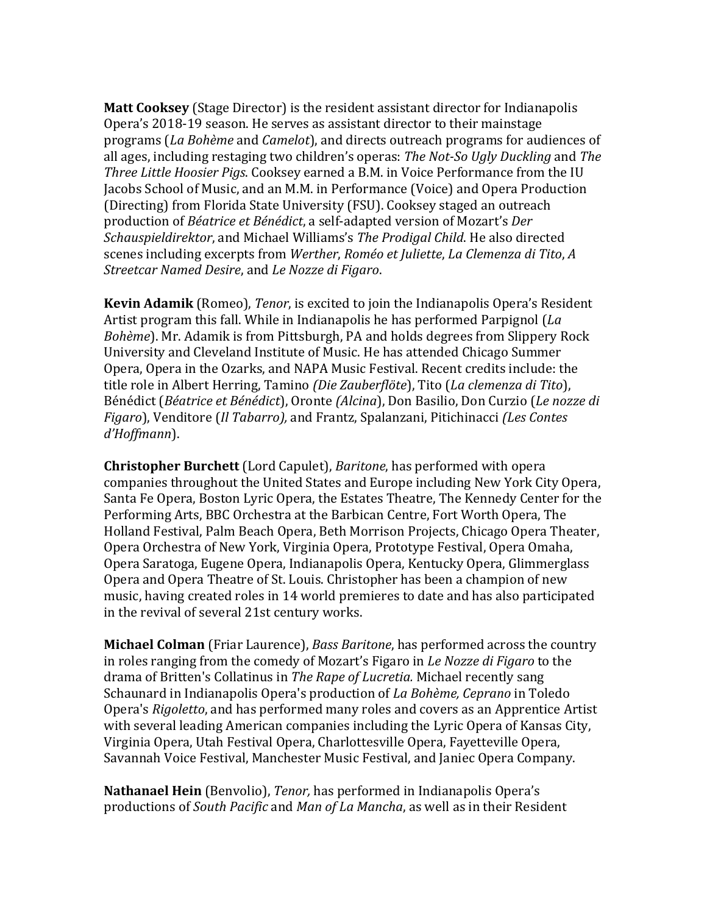**Matt Cooksey** (Stage Director) is the resident assistant director for Indianapolis Opera's 2018-19 season. He serves as assistant director to their mainstage programs (*La Bohème* and *Camelot*), and directs outreach programs for audiences of all ages, including restaging two children's operas: *The Not-So Ugly Duckling* and *The Three Little Hoosier Pigs.* Cooksey earned a B.M. in Voice Performance from the IU Jacobs School of Music, and an M.M. in Performance (Voice) and Opera Production (Directing) from Florida State University (FSU). Cooksey staged an outreach production of *Béatrice et Bénédict*, a self-adapted version of Mozart's *Der Schauspieldirektor*, and Michael Williams's *The Prodigal Child*. He also directed scenes including excerpts from *Werther*, *Roméo et Juliette*, *La Clemenza di Tito*, *A Streetcar Named Desire*, and *Le Nozze di Figaro*. 

**Kevin Adamik** (Romeo), *Tenor*, is excited to join the Indianapolis Opera's Resident Artist program this fall. While in Indianapolis he has performed Parpignol (*La Bohème*). Mr. Adamik is from Pittsburgh, PA and holds degrees from Slippery Rock University and Cleveland Institute of Music. He has attended Chicago Summer Opera, Opera in the Ozarks, and NAPA Music Festival. Recent credits include: the title role in Albert Herring, Tamino *(Die Zauberflöte*), Tito (*La clemenza di Tito*), Bénédict (*Béatrice et Bénédict*), Oronte (Alcina), Don Basilio, Don Curzio (Le nozze di *Figaro*), Venditore (*Il Tabarro*), and Frantz, Spalanzani, Pitichinacci (Les Contes *d'Hoffmann*).

**Christopher Burchett** (Lord Capulet), *Baritone*, has performed with opera companies throughout the United States and Europe including New York City Opera, Santa Fe Opera, Boston Lyric Opera, the Estates Theatre, The Kennedy Center for the Performing Arts, BBC Orchestra at the Barbican Centre, Fort Worth Opera, The Holland Festival, Palm Beach Opera, Beth Morrison Projects, Chicago Opera Theater, Opera Orchestra of New York, Virginia Opera, Prototype Festival, Opera Omaha, Opera Saratoga, Eugene Opera, Indianapolis Opera, Kentucky Opera, Glimmerglass Opera and Opera Theatre of St. Louis. Christopher has been a champion of new music, having created roles in 14 world premieres to date and has also participated in the revival of several 21st century works.

**Michael Colman** (Friar Laurence), *Bass Baritone*, has performed across the country in roles ranging from the comedy of Mozart's Figaro in *Le Nozze di Figaro* to the drama of Britten's Collatinus in *The Rape of Lucretia*. Michael recently sang Schaunard in Indianapolis Opera's production of *La Bohème, Ceprano* in Toledo Opera's *Rigoletto*, and has performed many roles and covers as an Apprentice Artist with several leading American companies including the Lyric Opera of Kansas City, Virginia Opera, Utah Festival Opera, Charlottesville Opera, Fayetteville Opera, Savannah Voice Festival, Manchester Music Festival, and Janiec Opera Company.

**Nathanael Hein** (Benvolio), *Tenor*, has performed in Indianapolis Opera's productions of *South Pacific* and *Man of La Mancha*, as well as in their Resident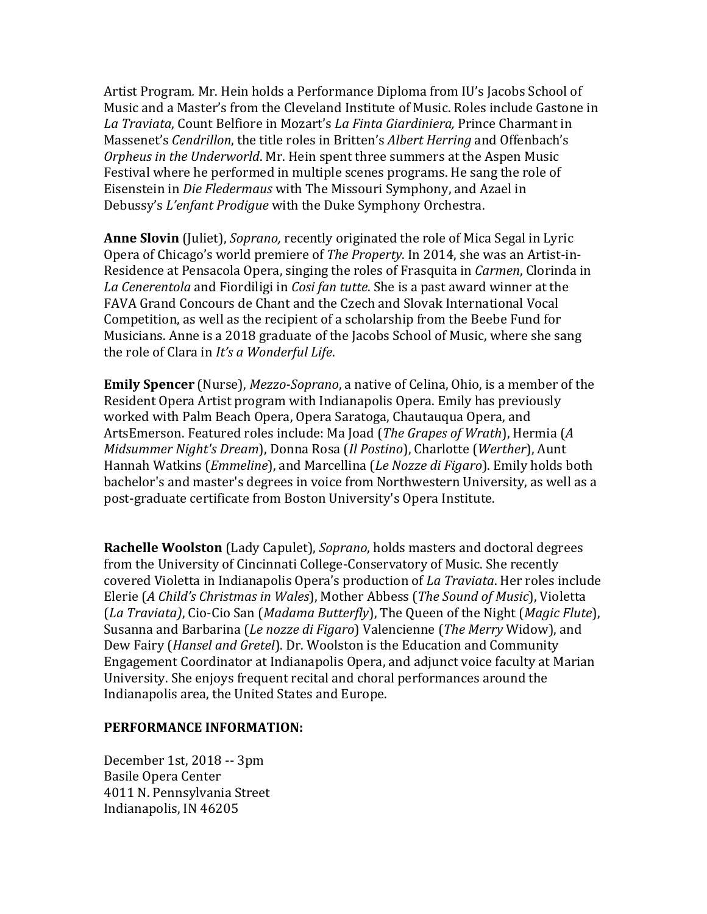Artist Program. Mr. Hein holds a Performance Diploma from IU's Jacobs School of Music and a Master's from the Cleveland Institute of Music. Roles include Gastone in La Traviata, Count Belfiore in Mozart's *La Finta Giardiniera*, Prince Charmant in Massenet's *Cendrillon*, the title roles in Britten's *Albert Herring* and Offenbach's *Orpheus in the Underworld*. Mr. Hein spent three summers at the Aspen Music Festival where he performed in multiple scenes programs. He sang the role of Eisenstein in *Die Fledermaus* with The Missouri Symphony, and Azael in Debussy's *L'enfant Prodigue* with the Duke Symphony Orchestra.

**Anne Slovin** (Juliet), *Soprano*, recently originated the role of Mica Segal in Lyric Opera of Chicago's world premiere of *The Property*. In 2014, she was an Artist-in-Residence at Pensacola Opera, singing the roles of Frasquita in *Carmen*, Clorinda in La Cenerentola and Fiordiligi in *Cosi fan tutte*. She is a past award winner at the FAVA Grand Concours de Chant and the Czech and Slovak International Vocal Competition, as well as the recipient of a scholarship from the Beebe Fund for Musicians. Anne is a 2018 graduate of the Jacobs School of Music, where she sang the role of Clara in *It's a Wonderful Life*.

**Emily Spencer** (Nurse), *Mezzo-Soprano*, a native of Celina, Ohio, is a member of the Resident Opera Artist program with Indianapolis Opera. Emily has previously worked with Palm Beach Opera, Opera Saratoga, Chautauqua Opera, and ArtsEmerson. Featured roles include: Ma Joad (*The Grapes of Wrath*), Hermia (A *Midsummer Night's Dream*), Donna Rosa (*Il Postino*), Charlotte (*Werther*), Aunt Hannah Watkins (*Emmeline*), and Marcellina (*Le Nozze di Figaro*). Emily holds both bachelor's and master's degrees in voice from Northwestern University, as well as a post-graduate certificate from Boston University's Opera Institute.

**Rachelle Woolston** (Lady Capulet), *Soprano*, holds masters and doctoral degrees from the University of Cincinnati College-Conservatory of Music. She recently covered Violetta in Indianapolis Opera's production of *La Traviata*. Her roles include Elerie (A Child's Christmas in Wales), Mother Abbess (The Sound of Music), Violetta (*La Traviata)*, Cio-Cio San (*Madama Butterfly*), The Queen of the Night (*Magic Flute*), Susanna and Barbarina (*Le nozze di Figaro*) Valencienne (*The Merry* Widow), and Dew Fairy (*Hansel and Gretel*). Dr. Woolston is the Education and Community Engagement Coordinator at Indianapolis Opera, and adjunct voice faculty at Marian University. She enjoys frequent recital and choral performances around the Indianapolis area, the United States and Europe.

### **PERFORMANCE INFORMATION:**

December 1st, 2018 -- 3pm Basile Opera Center 4011 N. Pennsylvania Street Indianapolis, IN 46205